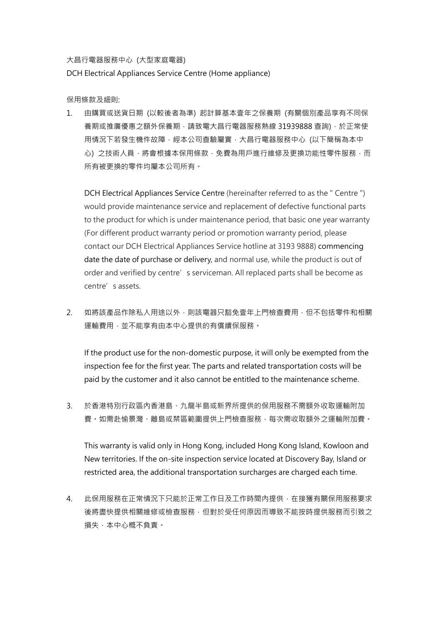大昌行電器服務中心 (大型家庭電器)

DCH Electrical Appliances Service Centre (Home appliance)

保用條款及細則:

1. 由購買或送貨日期 (以較後者為準) 起計算基本壹年之保養期 (有關個別產品享有不同保 養期或推廣優惠之額外保養期,請致電大昌行電器服務熱線 31939888 查詢),於正常使 用情況下若發生機件故障,經本公司查驗屬實,大昌行電器服務中心 (以下簡稱為本中 心) 之技術人員,將會根據本保用條款,免費為用戶進行維修及更換功能性零件服務,而 所有被更換的零件均屬本公司所有。

DCH Electrical Appliances Service Centre (hereinafter referred to as the " Centre ") would provide maintenance service and replacement of defective functional parts to the product for which is under maintenance period, that basic one year warranty (For different product warranty period or promotion warranty period, please contact our DCH Electrical Appliances Service hotline at 3193 9888) commencing date the date of purchase or delivery, and normal use, while the product is out of order and verified by centre's serviceman. All replaced parts shall be become as centre's assets.

2. 如將該產品作除私人用途以外,則該電器只豁免壹年上門檢查費用,但不包括零件和相關 運輸費用,並不能享有由本中心提供的有償續保服務。

If the product use for the non-domestic purpose, it will only be exempted from the inspection fee for the first year. The parts and related transportation costs will be paid by the customer and it also cannot be entitled to the maintenance scheme.

3. 於香港特別行政區內香港島、九龍半島或新界所提供的保用服務不需額外收取運輸附加 書。如需赴愉景灣、離島或禁區範圍提供上門檢查服務,每次需收取額外之運輸附加費。

This warranty is valid only in Hong Kong, included Hong Kong Island, Kowloon and New territories. If the on-site inspection service located at Discovery Bay, Island or restricted area, the additional transportation surcharges are charged each time.

4. 此保用服務在正常情況下只能於正常工作日及工作時間內提供,在接獲有關保用服務要求 後將盡快提供相關維修或檢查服務,但對於受任何原因而導致不能按時提供服務而引致之 **損失,本中心概不負責。**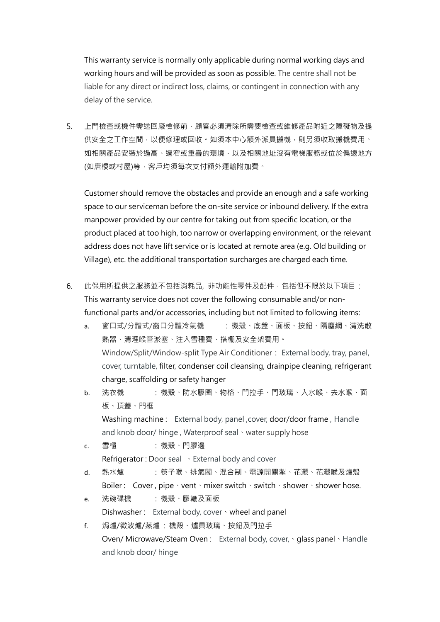This warranty service is normally only applicable during normal working days and working hours and will be provided as soon as possible. The centre shall not be liable for any direct or indirect loss, claims, or contingent in connection with any delay of the service.

5. 上門檢查或機件需送回廠檢修前,顧客必須清除所需要檢查或維修產品附近之障礙物及提 供安全之工作空間,以便修理或回收。如須本中心額外派員搬機,則另須收取搬機費用。 如相關產品安裝於過高、過窄或重疊的環境,以及相關地址沒有電梯服務或位於偏遠地方 (如唐樓或村屋)等,客戶均須每次支付額外運輸附加費。

Customer should remove the obstacles and provide an enough and a safe working space to our serviceman before the on-site service or inbound delivery. If the extra manpower provided by our centre for taking out from specific location, or the product placed at too high, too narrow or overlapping environment, or the relevant address does not have lift service or is located at remote area (e.g. Old building or Village), etc. the additional transportation surcharges are charged each time.

- 6. 此保用所提供之服務並不包括消耗品, 非功能性零件及配件,包括但不限於以下項目: This warranty service does not cover the following consumable and/or nonfunctional parts and/or accessories, including but not limited to following items:
	- a. 窗口式/分體式/窗口分體冷氣機 : 機殼、底盤、面板、按鈕、隔塵網、清洗散 熱器、清理喉管淤塞、注入雪種費、搭棚及安全架費用。 Window/Split/Window-split Type Air Conditioner: External body, tray, panel, cover, turntable, filter, condenser coil cleansing, drainpipe cleaning, refrigerant charge, scaffolding or safety hanger
	- b. 洗衣機 : 機殼、防水膠圈、物格、門拉手、門玻璃、入水喉、去水喉、面 板、頂蓋、門框 Washing machine : External body, panel, cover, door/door frame, Handle and knob door/ hinge, Waterproof seal · water supply hose
	- c. 雪櫃 : 機殼、門膠邊 Refrigerator : Door seal 、External body and cover
	- d. 熱水爐 : 筷子喉、排氣閥、混合制、電源開關掣、花灑、花灑喉及爐殼 Boiler : Cover, pipe、vent、mixer switch、switch、shower、shower hose.
	- e. 洗碗碟機 : 機殼、膠轆及面板 Dishwasher : External body, cover · wheel and panel
	- f. 焗爐/微波爐/蒸爐 : 機殼、爐具玻璃、按鈕及門拉手 Oven/ Microwave/Steam Oven : External body, cover, · glass panel · Handle and knob door/ hinge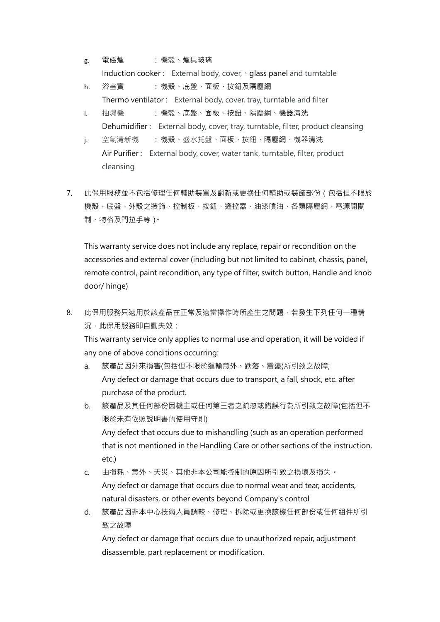- g. 電磁爐 : 機殼、爐具玻璃 Induction cooker: External body, cover, sqlass panel and turntable
- h. 浴室寶 : 機殼、底盤、面板、按鈕及隔塵網 Thermo ventilator : External body, cover, tray, turntable and filter
- i. 抽濕機 : 機殼、底盤、面板、按鈕、隔塵網、機器清洗 Dehumidifier : External body, cover, tray, turntable, filter, product cleansing
- j. 空氣清新機 : 機殼、盛水托盤、面板、按鈕、隔塵網、機器清洗 Air Purifier : External body, cover, water tank, turntable, filter, product cleansing
- 7. 此保用服務並不包括修理任何輔助裝置及翻新或更換任何輔助或裝飾部份(包括但不限於 機殼、底盤、外殼之裝飾、控制板、按鈕、遙控器、油漆噴油、各類隔塵網、電源開關 制、物格及門拉手等)。

This warranty service does not include any replace, repair or recondition on the accessories and external cover (including but not limited to cabinet, chassis, panel, remote control, paint recondition, any type of filter, switch button, Handle and knob door/ hinge)

8. 此保用服務只適用於該產品在正常及適當操作時所產生之問題,若發生下列任何一種情 況,此保用服務即自動失效:

This warranty service only applies to normal use and operation, it will be voided if any one of above conditions occurring:

- a. 該產品因外來損害(包括但不限於運輸意外、跌落、震盪)所引致之故障; Any defect or damage that occurs due to transport, a fall, shock, etc. after purchase of the product.
- b. 該產品及其任何部份因機主或任何第三者之疏忽或錯誤行為所引致之故障(包括但不 限於未有依照說明書的使用守則) Any defect that occurs due to mishandling (such as an operation performed that is not mentioned in the Handling Care or other sections of the instruction, etc.)
- c. 由損耗、意外、天災、其他非本公司能控制的原因所引致之損壞及損失。 Any defect or damage that occurs due to normal wear and tear, accidents, natural disasters, or other events beyond Company's control
- d. 該產品因非本中心技術人員調較、修理、拆除或更換該機任何部份或任何組件所引 致之故障

Any defect or damage that occurs due to unauthorized repair, adjustment disassemble, part replacement or modification.